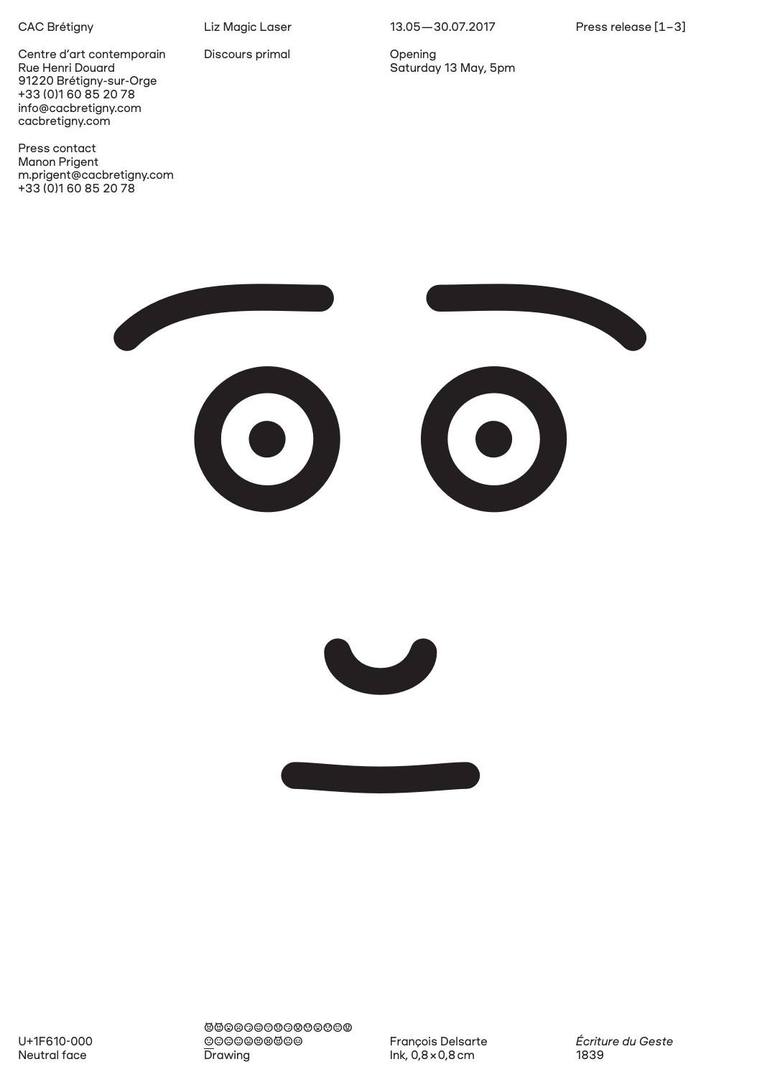CAC Brétigny

Liz Magic Laser

Discours primal

13.05—30.07.2017

Opening Saturday 13 May, 5pm

Centre d'art contemporain Rue Henri Douard 91220 Brétigny-sur-Orge +33 (0)1 60 85 20 78 info@cacbretigny.com cacbretigny.com

Press contact Manon Prigent m.prigent@cacbretigny.com +33 (0)1 60 85 20 78







U+1F610-000 Neutral face

**00000000000000** 000000000 **Drawing** 

François Delsarte Ink,  $0,8\times0,8$  cm

*Écriture du Geste* 1839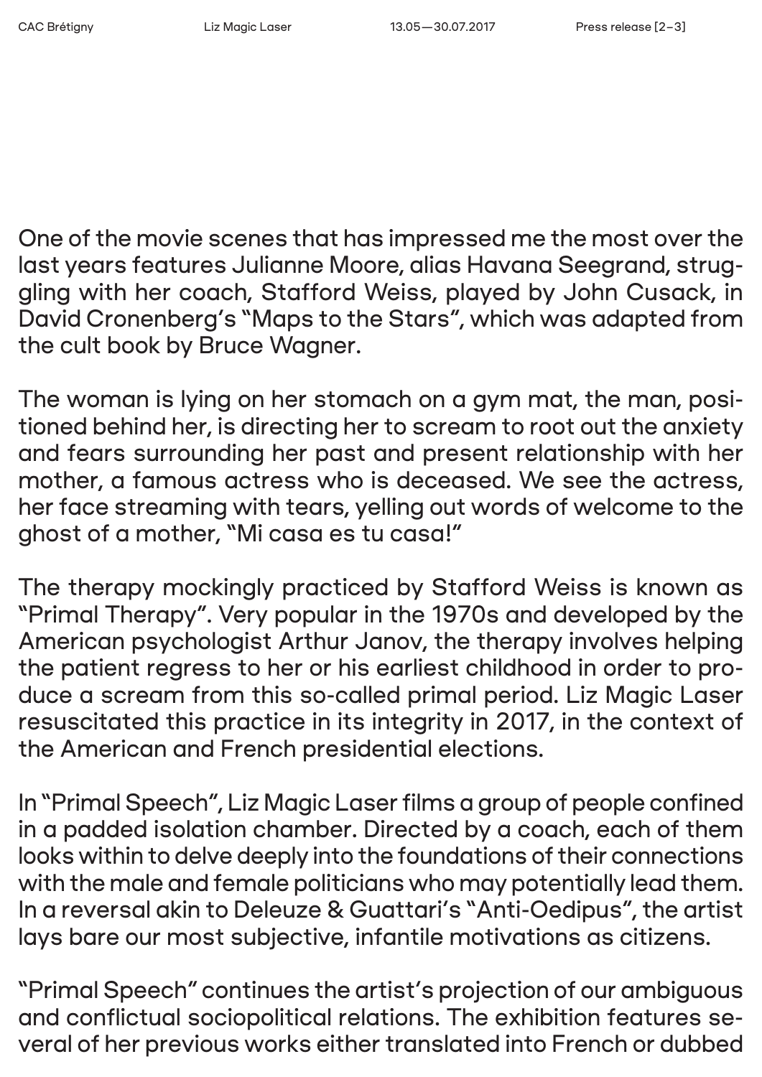One of the movie scenes that has impressed me the most over the last years features Julianne Moore, alias Havana Seegrand, struggling with her coach, Stafford Weiss, played by John Cusack, in David Cronenberg's "Maps to the Stars", which was adapted from the cult book by Bruce Wagner.

The woman is lying on her stomach on a gym mat, the man, positioned behind her, is directing her to scream to root out the anxiety and fears surrounding her past and present relationship with her mother, a famous actress who is deceased. We see the actress, her face streaming with tears, yelling out words of welcome to the ghost of a mother, "Mi casa es tu casa!"

The therapy mockingly practiced by Stafford Weiss is known as "Primal Therapy". Very popular in the 1970s and developed by the American psychologist Arthur Janov, the therapy involves helping the patient regress to her or his earliest childhood in order to produce a scream from this so-called primal period. Liz Magic Laser resuscitated this practice in its integrity in 2017, in the context of the American and French presidential elections.

In "Primal Speech", Liz Magic Laser films a group of people confined in a padded isolation chamber. Directed by a coach, each of them looks within to delve deeply into the foundations of their connections with the male and female politicians who may potentially lead them. In a reversal akin to Deleuze & Guattari's "Anti-Oedipus", the artist lays bare our most subjective, infantile motivations as citizens.

"Primal Speech" continues the artist's projection of our ambiguous and conflictual sociopolitical relations. The exhibition features several of her previous works either translated into French or dubbed